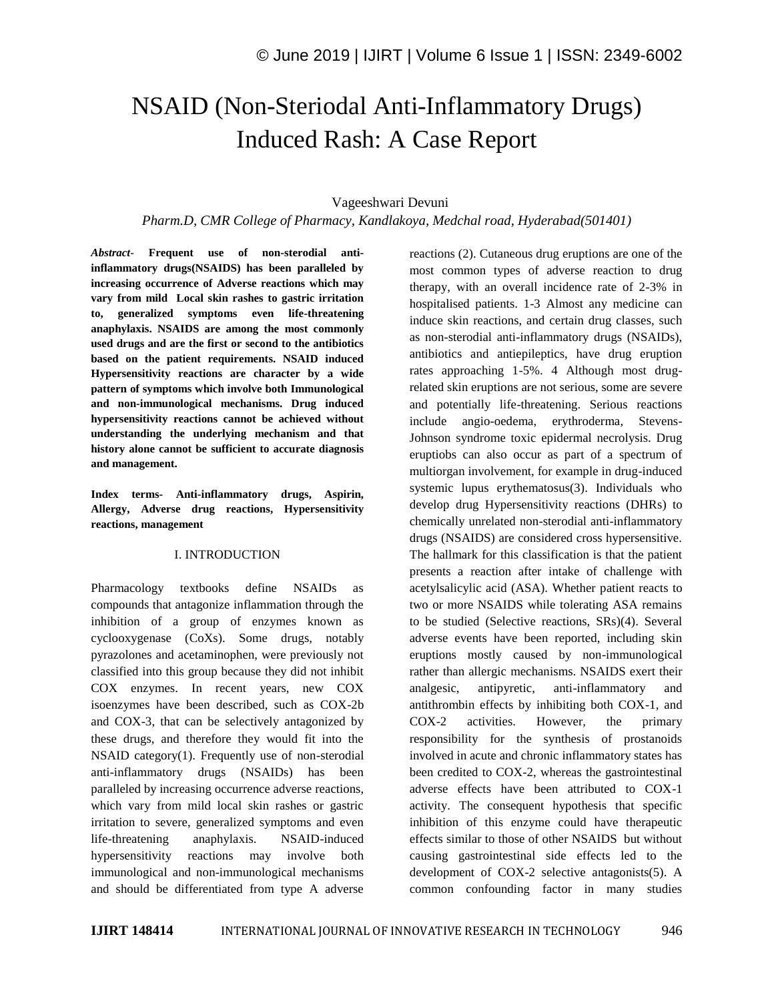# NSAID (Non-Steriodal Anti-Inflammatory Drugs) Induced Rash: A Case Report

## Vageeshwari Devuni

*Pharm.D, CMR College of Pharmacy, Kandlakoya, Medchal road, Hyderabad(501401)*

*Abstract*- **Frequent use of non-sterodial antiinflammatory drugs(NSAIDS) has been paralleled by increasing occurrence of Adverse reactions which may vary from mild Local skin rashes to gastric irritation to, generalized symptoms even life-threatening anaphylaxis. NSAIDS are among the most commonly used drugs and are the first or second to the antibiotics based on the patient requirements. NSAID induced Hypersensitivity reactions are character by a wide pattern of symptoms which involve both Immunological and non-immunological mechanisms. Drug induced hypersensitivity reactions cannot be achieved without understanding the underlying mechanism and that history alone cannot be sufficient to accurate diagnosis and management.**

**Index terms- Anti-inflammatory drugs, Aspirin, Allergy, Adverse drug reactions, Hypersensitivity reactions, management**

#### I. INTRODUCTION

Pharmacology textbooks define NSAIDs as compounds that antagonize inflammation through the inhibition of a group of enzymes known as cyclooxygenase (CoXs). Some drugs, notably pyrazolones and acetaminophen, were previously not classified into this group because they did not inhibit COX enzymes. In recent years, new COX isoenzymes have been described, such as COX-2b and COX-3, that can be selectively antagonized by these drugs, and therefore they would fit into the NSAID category(1). Frequently use of non-sterodial anti-inflammatory drugs (NSAIDs) has been paralleled by increasing occurrence adverse reactions, which vary from mild local skin rashes or gastric irritation to severe, generalized symptoms and even life-threatening anaphylaxis. NSAID-induced hypersensitivity reactions may involve both immunological and non-immunological mechanisms and should be differentiated from type A adverse

reactions (2). Cutaneous drug eruptions are one of the most common types of adverse reaction to drug therapy, with an overall incidence rate of 2-3% in hospitalised patients. 1-3 Almost any medicine can induce skin reactions, and certain drug classes, such as non-sterodial anti-inflammatory drugs (NSAIDs), antibiotics and antiepileptics, have drug eruption rates approaching 1-5%. 4 Although most drugrelated skin eruptions are not serious, some are severe and potentially life-threatening. Serious reactions include angio-oedema, erythroderma, Stevens-Johnson syndrome toxic epidermal necrolysis. Drug eruptiobs can also occur as part of a spectrum of multiorgan involvement, for example in drug-induced systemic lupus erythematosus(3). Individuals who develop drug Hypersensitivity reactions (DHRs) to chemically unrelated non-sterodial anti-inflammatory drugs (NSAIDS) are considered cross hypersensitive. The hallmark for this classification is that the patient presents a reaction after intake of challenge with acetylsalicylic acid (ASA). Whether patient reacts to two or more NSAIDS while tolerating ASA remains to be studied (Selective reactions, SRs)(4). Several adverse events have been reported, including skin eruptions mostly caused by non-immunological rather than allergic mechanisms. NSAIDS exert their analgesic, antipyretic, anti-inflammatory and antithrombin effects by inhibiting both COX-1, and COX-2 activities. However, the primary responsibility for the synthesis of prostanoids involved in acute and chronic inflammatory states has been credited to COX-2, whereas the gastrointestinal adverse effects have been attributed to COX-1 activity. The consequent hypothesis that specific inhibition of this enzyme could have therapeutic effects similar to those of other NSAIDS but without causing gastrointestinal side effects led to the development of COX-2 selective antagonists(5). A common confounding factor in many studies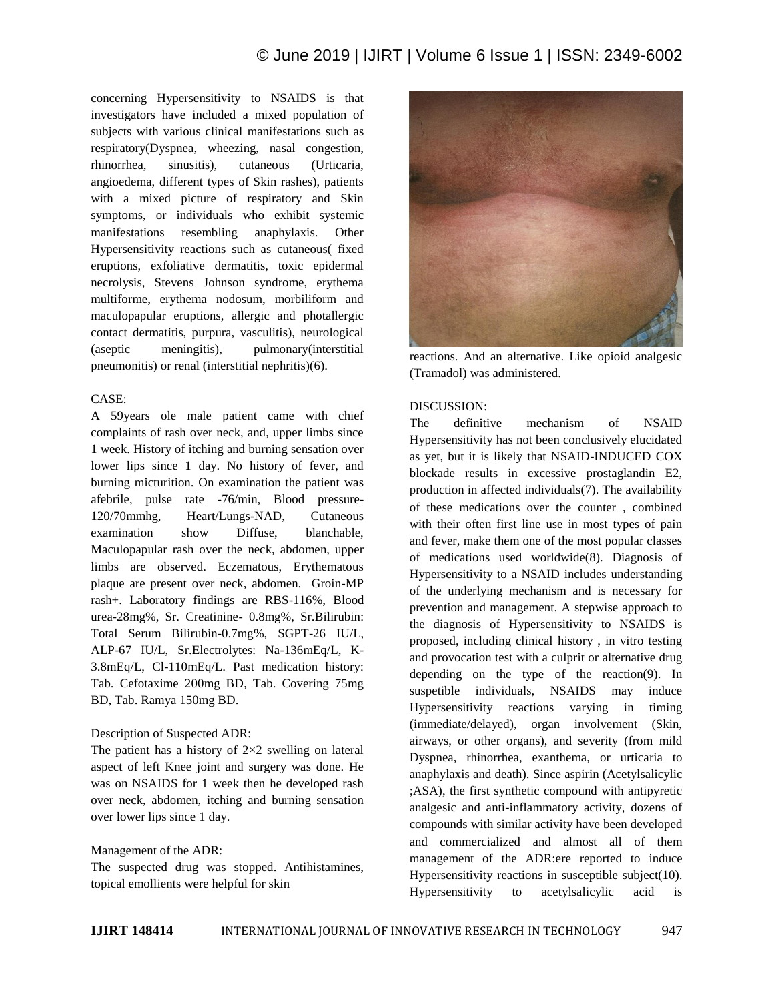concerning Hypersensitivity to NSAIDS is that investigators have included a mixed population of subjects with various clinical manifestations such as respiratory(Dyspnea, wheezing, nasal congestion, rhinorrhea, sinusitis), cutaneous (Urticaria, angioedema, different types of Skin rashes), patients with a mixed picture of respiratory and Skin symptoms, or individuals who exhibit systemic manifestations resembling anaphylaxis. Other Hypersensitivity reactions such as cutaneous( fixed eruptions, exfoliative dermatitis, toxic epidermal necrolysis, Stevens Johnson syndrome, erythema multiforme, erythema nodosum, morbiliform and maculopapular eruptions, allergic and photallergic contact dermatitis, purpura, vasculitis), neurological (aseptic meningitis), pulmonary(interstitial pneumonitis) or renal (interstitial nephritis)(6).

### CASE:

A 59years ole male patient came with chief complaints of rash over neck, and, upper limbs since 1 week. History of itching and burning sensation over lower lips since 1 day. No history of fever, and burning micturition. On examination the patient was afebrile, pulse rate -76/min, Blood pressure-120/70mmhg, Heart/Lungs-NAD, Cutaneous examination show Diffuse, blanchable, Maculopapular rash over the neck, abdomen, upper limbs are observed. Eczematous, Erythematous plaque are present over neck, abdomen. Groin-MP rash+. Laboratory findings are RBS-116%, Blood urea-28mg%, Sr. Creatinine- 0.8mg%, Sr.Bilirubin: Total Serum Bilirubin-0.7mg%, SGPT-26 IU/L, ALP-67 IU/L, Sr.Electrolytes: Na-136mEq/L, K-3.8mEq/L, Cl-110mEq/L. Past medication history: Tab. Cefotaxime 200mg BD, Tab. Covering 75mg BD, Tab. Ramya 150mg BD.

### Description of Suspected ADR:

The patient has a history of  $2\times 2$  swelling on lateral aspect of left Knee joint and surgery was done. He was on NSAIDS for 1 week then he developed rash over neck, abdomen, itching and burning sensation over lower lips since 1 day.

### Management of the ADR:

The suspected drug was stopped. Antihistamines, topical emollients were helpful for skin



reactions. And an alternative. Like opioid analgesic (Tramadol) was administered.

## DISCUSSION:

The definitive mechanism of NSAID Hypersensitivity has not been conclusively elucidated as yet, but it is likely that NSAID-INDUCED COX blockade results in excessive prostaglandin E2, production in affected individuals(7). The availability of these medications over the counter , combined with their often first line use in most types of pain and fever, make them one of the most popular classes of medications used worldwide(8). Diagnosis of Hypersensitivity to a NSAID includes understanding of the underlying mechanism and is necessary for prevention and management. A stepwise approach to the diagnosis of Hypersensitivity to NSAIDS is proposed, including clinical history , in vitro testing and provocation test with a culprit or alternative drug depending on the type of the reaction(9). In suspetible individuals, NSAIDS may induce Hypersensitivity reactions varying in timing (immediate/delayed), organ involvement (Skin, airways, or other organs), and severity (from mild Dyspnea, rhinorrhea, exanthema, or urticaria to anaphylaxis and death). Since aspirin (Acetylsalicylic ;ASA), the first synthetic compound with antipyretic analgesic and anti-inflammatory activity, dozens of compounds with similar activity have been developed and commercialized and almost all of them management of the ADR:ere reported to induce Hypersensitivity reactions in susceptible subject(10). Hypersensitivity to acetylsalicylic acid is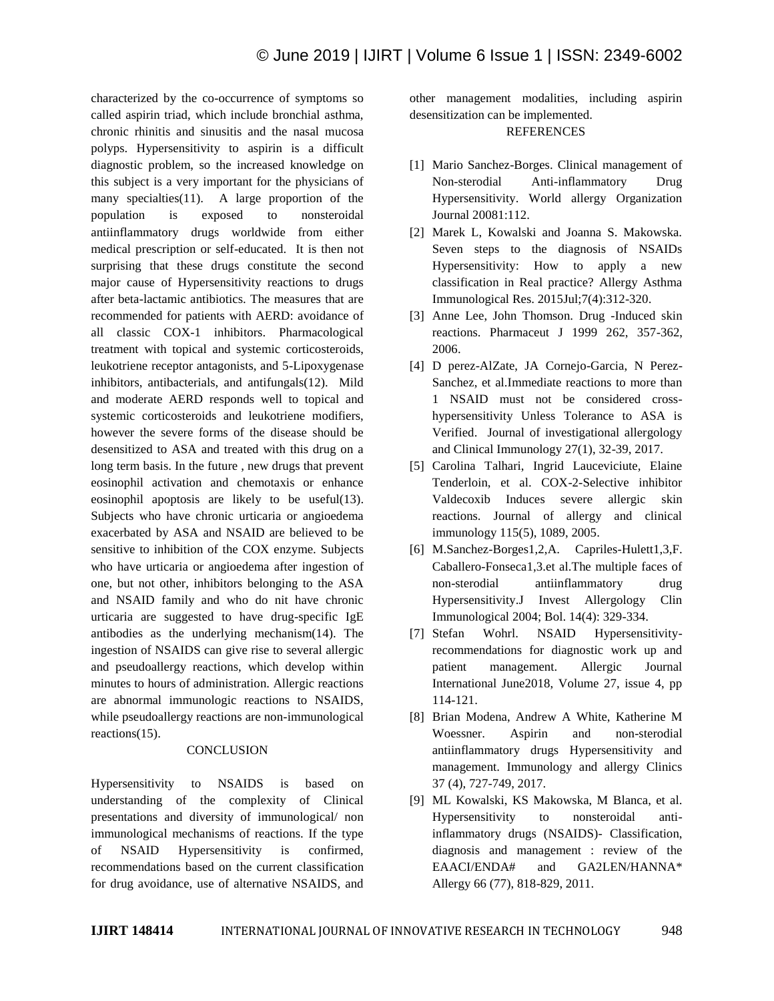characterized by the co-occurrence of symptoms so called aspirin triad, which include bronchial asthma, chronic rhinitis and sinusitis and the nasal mucosa polyps. Hypersensitivity to aspirin is a difficult diagnostic problem, so the increased knowledge on this subject is a very important for the physicians of many specialties(11). A large proportion of the population is exposed to nonsteroidal antiinflammatory drugs worldwide from either medical prescription or self-educated. It is then not surprising that these drugs constitute the second major cause of Hypersensitivity reactions to drugs after beta-lactamic antibiotics. The measures that are recommended for patients with AERD: avoidance of all classic COX-1 inhibitors. Pharmacological treatment with topical and systemic corticosteroids, leukotriene receptor antagonists, and 5-Lipoxygenase inhibitors, antibacterials, and antifungals(12). Mild and moderate AERD responds well to topical and systemic corticosteroids and leukotriene modifiers, however the severe forms of the disease should be desensitized to ASA and treated with this drug on a long term basis. In the future , new drugs that prevent eosinophil activation and chemotaxis or enhance eosinophil apoptosis are likely to be useful(13). Subjects who have chronic urticaria or angioedema exacerbated by ASA and NSAID are believed to be sensitive to inhibition of the COX enzyme. Subjects who have urticaria or angioedema after ingestion of one, but not other, inhibitors belonging to the ASA and NSAID family and who do nit have chronic urticaria are suggested to have drug-specific IgE antibodies as the underlying mechanism(14). The ingestion of NSAIDS can give rise to several allergic and pseudoallergy reactions, which develop within minutes to hours of administration. Allergic reactions are abnormal immunologic reactions to NSAIDS, while pseudoallergy reactions are non-immunological reactions(15).

#### **CONCLUSION**

Hypersensitivity to NSAIDS is based on understanding of the complexity of Clinical presentations and diversity of immunological/ non immunological mechanisms of reactions. If the type of NSAID Hypersensitivity is confirmed, recommendations based on the current classification for drug avoidance, use of alternative NSAIDS, and other management modalities, including aspirin desensitization can be implemented. **REFERENCES** 

- [1] Mario Sanchez-Borges. Clinical management of Non-sterodial Anti-inflammatory Drug Hypersensitivity. World allergy Organization Journal 20081:112.
- [2] Marek L, Kowalski and Joanna S. Makowska. Seven steps to the diagnosis of NSAIDs Hypersensitivity: How to apply a new classification in Real practice? Allergy Asthma Immunological Res. 2015Jul;7(4):312-320.
- [3] Anne Lee, John Thomson. Drug -Induced skin reactions. Pharmaceut J 1999 262, 357-362, 2006.
- [4] D perez-AlZate, JA Cornejo-Garcia, N Perez-Sanchez, et al.Immediate reactions to more than 1 NSAID must not be considered crosshypersensitivity Unless Tolerance to ASA is Verified. Journal of investigational allergology and Clinical Immunology 27(1), 32-39, 2017.
- [5] Carolina Talhari, Ingrid Lauceviciute, Elaine Tenderloin, et al. COX-2-Selective inhibitor Valdecoxib Induces severe allergic skin reactions. Journal of allergy and clinical immunology 115(5), 1089, 2005.
- [6] M.Sanchez-Borges1,2,A. Capriles-Hulett1,3,F. Caballero-Fonseca1,3.et al.The multiple faces of non-sterodial antiinflammatory drug Hypersensitivity.J Invest Allergology Clin Immunological 2004; Bol. 14(4): 329-334.
- [7] Stefan Wohrl. NSAID Hypersensitivityrecommendations for diagnostic work up and patient management. Allergic Journal International June2018, Volume 27, issue 4, pp 114-121.
- [8] Brian Modena, Andrew A White, Katherine M Woessner. Aspirin and non-sterodial antiinflammatory drugs Hypersensitivity and management. Immunology and allergy Clinics 37 (4), 727-749, 2017.
- [9] ML Kowalski, KS Makowska, M Blanca, et al. Hypersensitivity to nonsteroidal antiinflammatory drugs (NSAIDS)- Classification, diagnosis and management : review of the EAACI/ENDA# and GA2LEN/HANNA\* Allergy 66 (77), 818-829, 2011.